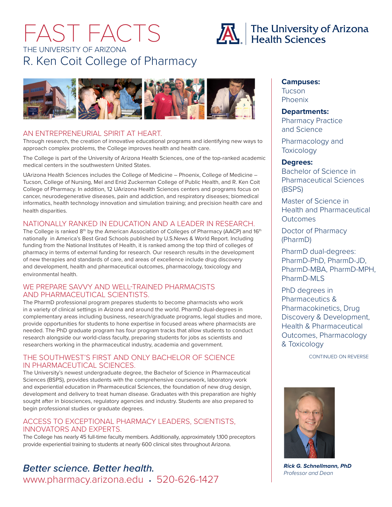# FAST FACTS THE UNIVERSITY OF ARIZONA R. Ken Coit College of Pharmacy





#### AN ENTREPRENEURIAL SPIRIT AT HEART.

Through research, the creation of innovative educational programs and identifying new ways to approach complex problems, the College improves health and health care.

The College is part of the University of Arizona Health Sciences, one of the top-ranked academic medical centers in the southwestern United States.

UArizona Health Sciences includes the College of Medicine – Phoenix, College of Medicine – Tucson, College of Nursing, Mel and Enid Zuckerman College of Public Health, and R. Ken Coit College of Pharmacy. In addition, 12 UArizona Health Sciences centers and programs focus on cancer, neurodegenerative diseases, pain and addiction, and respiratory diseases; biomedical informatics, health technology innovation and simulation training; and precision health care and health disparities.

#### NATIONALLY RANKED IN EDUCATION AND A LEADER IN RESEARCH.

The College is ranked 8<sup>th</sup> by the American Association of Colleges of Pharmacy (AACP) and 16<sup>th</sup> nationally in America's Best Grad Schools published by U.S.News & World Report. Including funding from the National Institutes of Health, it is ranked among the top third of colleges of pharmacy in terms of external funding for research. Our research results in the development of new therapies and standards of care, and areas of excellence include drug discovery and development, health and pharmaceutical outcomes, pharmacology, toxicology and environmental health.

#### WE PREPARE SAVVY AND WELL-TRAINED PHARMACISTS AND PHARMACEUTICAL SCIENTISTS.

The PharmD professional program prepares students to become pharmacists who work in a variety of clinical settings in Arizona and around the world. PharmD dual-degrees in complementary areas including business, research/graduate programs, legal studies and more, provide opportunities for students to hone expertise in focused areas where pharmacists are needed. The PhD graduate program has four program tracks that allow students to conduct research alongside our world-class faculty, preparing students for jobs as scientists and researchers working in the pharmaceutical industry, academia and government.

#### THE SOUTHWEST'S FIRST AND ONLY BACHELOR OF SCIENCE IN PHARMACEUTICAL SCIENCES.

The University's newest undergraduate degree, the Bachelor of Science in Pharmaceutical Sciences (BSPS), provides students with the comprehensive coursework, laboratory work and experiential education in Pharmaceutical Sciences, the foundation of new drug design, development and delivery to treat human disease. Graduates with this preparation are highly sought after in biosciences, regulatory agencies and industry. Students are also prepared to begin professional studies or graduate degrees.

#### ACCESS TO EXCEPTIONAL PHARMACY LEADERS, SCIENTISTS, INNOVATORS AND EXPERTS.

The College has nearly 45 full-time faculty members. Additionally, approximately 1,100 preceptors provide experiential training to students at nearly 600 clinical sites throughout Arizona.

## www.pharmacy.arizona.edu • 520-626-1427 *Better science. Better health.*

### **Campuses:**

Tucson Phoenix

#### **Departments:**

Pharmacy Practice and Science

Pharmacology and **Toxicology** 

#### **Degrees:**

Bachelor of Science in Pharmaceutical Sciences (BSPS)

Master of Science in Health and Pharmaceutical **Outcomes** 

Doctor of Pharmacy (PharmD)

PharmD dual-degrees: PharmD-PhD, PharmD-JD, PharmD-MBA, PharmD-MPH, PharmD-MLS

PhD degrees in Pharmaceutics & Pharmacokinetics, Drug Discovery & Development, Health & Pharmaceutical Outcomes, Pharmacology & Toxicology

CONTINUED ON REVERSE



*Rick G. Schnellmann, PhD Professor and Dean*